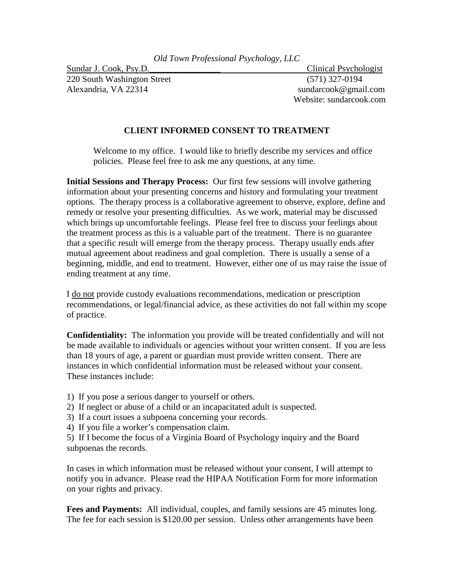220 South Washington Street (571) 327-0194 Alexandria, VA 22314 sundarcook@gmail.com

Sundar J. Cook, Psy.D. Clinical Psychologist Website: sundarcook.com

## **CLIENT INFORMED CONSENT TO TREATMENT**

Welcome to my office. I would like to briefly describe my services and office policies. Please feel free to ask me any questions, at any time.

**Initial Sessions and Therapy Process:** Our first few sessions will involve gathering information about your presenting concerns and history and formulating your treatment options. The therapy process is a collaborative agreement to observe, explore, define and remedy or resolve your presenting difficulties. As we work, material may be discussed which brings up uncomfortable feelings. Please feel free to discuss your feelings about the treatment process as this is a valuable part of the treatment. There is no guarantee that a specific result will emerge from the therapy process. Therapy usually ends after mutual agreement about readiness and goal completion. There is usually a sense of a beginning, middle, and end to treatment. However, either one of us may raise the issue of ending treatment at any time.

I do not provide custody evaluations recommendations, medication or prescription recommendations, or legal/financial advice, as these activities do not fall within my scope of practice.

**Confidentiality:** The information you provide will be treated confidentially and will not be made available to individuals or agencies without your written consent. If you are less than 18 yours of age, a parent or guardian must provide written consent. There are instances in which confidential information must be released without your consent. These instances include:

- 1) If you pose a serious danger to yourself or others.
- 2) If neglect or abuse of a child or an incapacitated adult is suspected.
- 3) If a court issues a subpoena concerning your records.
- 4) If you file a worker's compensation claim.

5) If I become the focus of a Virginia Board of Psychology inquiry and the Board subpoenas the records.

In cases in which information must be released without your consent, I will attempt to notify you in advance. Please read the HIPAA Notification Form for more information on your rights and privacy.

**Fees and Payments:** All individual, couples, and family sessions are 45 minutes long. The fee for each session is \$120.00 per session. Unless other arrangements have been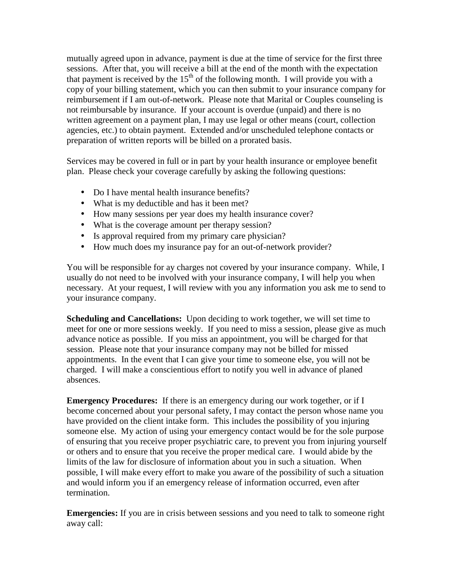mutually agreed upon in advance, payment is due at the time of service for the first three sessions. After that, you will receive a bill at the end of the month with the expectation that payment is received by the  $15<sup>th</sup>$  of the following month. I will provide you with a copy of your billing statement, which you can then submit to your insurance company for reimbursement if I am out-of-network. Please note that Marital or Couples counseling is not reimbursable by insurance. If your account is overdue (unpaid) and there is no written agreement on a payment plan, I may use legal or other means (court, collection agencies, etc.) to obtain payment. Extended and/or unscheduled telephone contacts or preparation of written reports will be billed on a prorated basis.

Services may be covered in full or in part by your health insurance or employee benefit plan. Please check your coverage carefully by asking the following questions:

- Do I have mental health insurance benefits?
- What is my deductible and has it been met?
- How many sessions per year does my health insurance cover?
- What is the coverage amount per therapy session?
- Is approval required from my primary care physician?
- How much does my insurance pay for an out-of-network provider?

You will be responsible for ay charges not covered by your insurance company. While, I usually do not need to be involved with your insurance company, I will help you when necessary. At your request, I will review with you any information you ask me to send to your insurance company.

**Scheduling and Cancellations:** Upon deciding to work together, we will set time to meet for one or more sessions weekly. If you need to miss a session, please give as much advance notice as possible. If you miss an appointment, you will be charged for that session. Please note that your insurance company may not be billed for missed appointments. In the event that I can give your time to someone else, you will not be charged. I will make a conscientious effort to notify you well in advance of planed absences.

**Emergency Procedures:** If there is an emergency during our work together, or if I become concerned about your personal safety, I may contact the person whose name you have provided on the client intake form. This includes the possibility of you injuring someone else. My action of using your emergency contact would be for the sole purpose of ensuring that you receive proper psychiatric care, to prevent you from injuring yourself or others and to ensure that you receive the proper medical care. I would abide by the limits of the law for disclosure of information about you in such a situation. When possible, I will make every effort to make you aware of the possibility of such a situation and would inform you if an emergency release of information occurred, even after termination.

**Emergencies:** If you are in crisis between sessions and you need to talk to someone right away call: